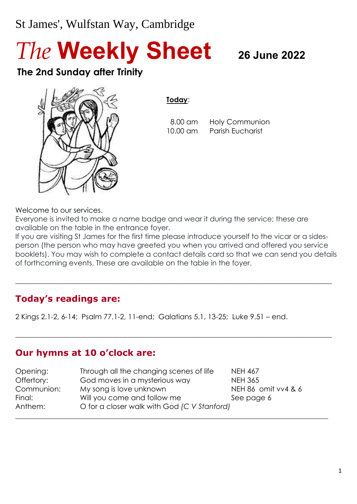# St James', Wulfstan Way, Cambridge

*The* **Weekly Sheet <sup>26</sup> June <sup>2022</sup>**

## **The 2nd Sunday after Trinity**



**Today**:

 8.00 am Holy Communion 10.00 am Parish Eucharist

Welcome to our services.

Everyone is invited to make a name badge and wear it during the service; these are available on the table in the entrance foyer.

If you are visiting St James for the first time please introduce yourself to the vicar or a sidesperson (the person who may have greeted you when you arrived and offered you service booklets). You may wish to complete a contact details card so that we can send you details of forthcoming events. These are available on the table in the foyer.

 $\_$  , and the set of the set of the set of the set of the set of the set of the set of the set of the set of the set of the set of the set of the set of the set of the set of the set of the set of the set of the set of th

 $\_$  , and the set of the set of the set of the set of the set of the set of the set of the set of the set of the set of the set of the set of the set of the set of the set of the set of the set of the set of the set of th

## **Today's readings are:**

2 Kings 2.1-2, 6-14; Psalm 77.1-2, 11-end; Galatians 5.1, 13-25; Luke 9.51 – end.

## **Our hymns at 10 o'clock are:**

| Opening:   | Through all the changing scenes of life     | <b>NEH 467</b>      |  |
|------------|---------------------------------------------|---------------------|--|
| Offertory: | God moves in a mysterious way               | <b>NEH 365</b>      |  |
| Communion: | My song is love unknown                     | NEH 86 omit vv4 & 6 |  |
| Final:     | Will you come and follow me                 | See page 6          |  |
| Anthem:    | O for a closer walk with God (C V Stanford) |                     |  |
|            |                                             |                     |  |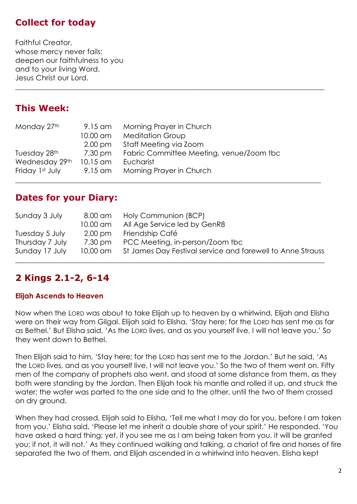## **Collect for today**

Faithful Creator, whose mercy never fails: deepen our faithfulness to you and to your living Word, Jesus Christ our Lord.

## **This Week:**

| Monday 27th     | 9.15 am           | Morning Prayer in Church                 |
|-----------------|-------------------|------------------------------------------|
|                 | 10.00 am          | <b>Meditation Group</b>                  |
|                 | $2.00 \text{ pm}$ | Staff Meeting via Zoom                   |
| Tuesday 28th    | 7.30 pm           | Fabric Committee Meeting, venue/Zoom tbc |
| Wednesday 29th  | 10.15 am          | Eucharist                                |
| Friday 1st July | 9.15 am           | Morning Prayer in Church                 |
|                 |                   |                                          |

## **Dates for your Diary:**

| Sunday 3 July   | 8.00 am<br>10.00 am | Holy Communion (BCP)<br>All Age Service led by GenR8       |
|-----------------|---------------------|------------------------------------------------------------|
| Tuesday 5 July  | $2.00 \text{ pm}$   | Friendship Café                                            |
| Thursday 7 July | 7.30 pm             | PCC Meeting, in-person/Zoom tbc                            |
| Sunday 17 July  | 10.00 am            | St James Day Festival service and farewell to Anne Strauss |

\_\_\_\_\_\_\_\_\_\_\_\_\_\_\_\_\_\_\_\_\_\_\_\_\_\_\_\_\_\_\_\_\_\_\_\_\_\_\_\_\_\_\_\_\_\_\_\_\_\_\_\_\_\_\_\_\_\_\_\_\_\_\_\_\_\_\_\_\_\_\_\_\_\_\_\_\_\_\_\_\_\_\_\_

## **2 Kings 2.1-2, 6-14**

#### **Elijah Ascends to Heaven**

Now when the LORD was about to take Elijah up to heaven by a whirlwind, Elijah and Elisha were on their way from Gilgal. Elijah said to Elisha, 'Stay here; for the LORD has sent me as far as Bethel.' But Elisha said, 'As the LORD lives, and as you yourself live, I will not leave you.' So they went down to Bethel.

Then Elijah said to him, 'Stay here; for the LORD has sent me to the Jordan.' But he said, 'As the LORD lives, and as you yourself live, I will not leave you.' So the two of them went on. Fifty men of the company of prophets also went, and stood at some distance from them, as they both were standing by the Jordan. Then Elijah took his mantle and rolled it up, and struck the water; the water was parted to the one side and to the other, until the two of them crossed on dry ground.

When they had crossed, Elijah said to Elisha, 'Tell me what I may do for you, before I am taken from you.' Elisha said, 'Please let me inherit a double share of your spirit.' He responded, 'You have asked a hard thing; yet, if you see me as I am being taken from you, it will be granted you; if not, it will not.' As they continued walking and talking, a chariot of fire and horses of fire separated the two of them, and Elijah ascended in a whirlwind into heaven. Elisha kept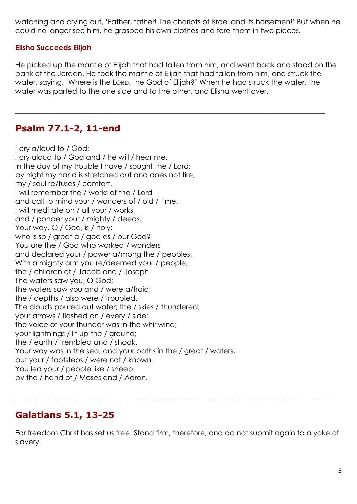watching and crying out, 'Father, father! The chariots of Israel and its horsemen!' But when he could no longer see him, he grasped his own clothes and tore them in two pieces.

#### **Elisha Succeeds Elijah**

He picked up the mantle of Elijah that had fallen from him, and went back and stood on the bank of the Jordan. He took the mantle of Elijah that had fallen from him, and struck the water, saying, 'Where is the LORD, the God of Elijah?' When he had struck the water, the water was parted to the one side and to the other, and Elisha went over.

\_\_\_\_\_\_\_\_\_\_\_\_\_\_\_\_\_\_\_\_\_\_\_\_\_\_\_\_\_\_\_\_\_\_\_\_\_\_\_\_\_\_\_\_\_\_\_\_\_\_\_\_\_\_\_\_

## **Psalm 77.1-2, 11-end**

I cry a/loud to / God; I cry aloud to / God and / he will / hear me. In the day of my trouble I have / sought the / Lord; by night my hand is stretched out and does not tire; my / soul re/fuses / comfort. I will remember the / works of the / Lord and call to mind your / wonders of / old / time. I will meditate on / all your / works and / ponder your / mighty / deeds. Your way, O / God, is / holy; who is so / great a / god as / our God? You are the / God who worked / wonders and declared your / power a/mong the / peoples. With a mighty arm you re/deemed your / people, the / children of / Jacob and / Joseph. The waters saw you, O God; the waters saw you and / were a/fraid; the / depths / also were / troubled. The clouds poured out water; the / skies / thundered; your arrows / flashed on / every / side; the voice of your thunder was in the whirlwind; your lightnings / lit up the / ground; the / earth / trembled and / shook. Your way was in the sea, and your paths in the / great / waters, but your / footsteps / were not / known. You led your / people like / sheep by the / hand of / Moses and / Aaron.

## **Galatians 5.1, 13-25**

For freedom Christ has set us free. Stand firm, therefore, and do not submit again to a yoke of slavery.

\_\_\_\_\_\_\_\_\_\_\_\_\_\_\_\_\_\_\_\_\_\_\_\_\_\_\_\_\_\_\_\_\_\_\_\_\_\_\_\_\_\_\_\_\_\_\_\_\_\_\_\_\_\_\_\_\_\_\_\_\_\_\_\_\_\_\_\_\_\_\_\_\_\_\_\_\_\_\_\_\_\_\_\_\_\_\_\_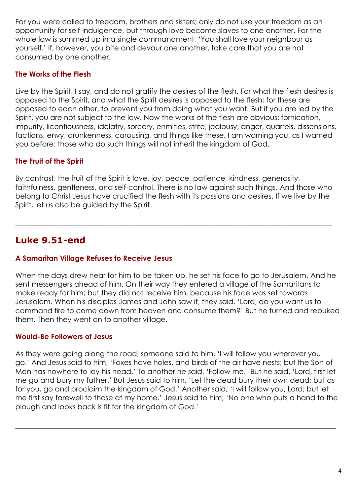For you were called to freedom, brothers and sisters; only do not use your freedom as an opportunity for self-indulgence, but through love become slaves to one another. For the whole law is summed up in a single commandment, 'You shall love your neighbour as yourself.' If, however, you bite and devour one another, take care that you are not consumed by one another.

#### **The Works of the Flesh**

Live by the Spirit, I say, and do not gratify the desires of the flesh. For what the flesh desires is opposed to the Spirit, and what the Spirit desires is opposed to the flesh; for these are opposed to each other, to prevent you from doing what you want. But if you are led by the Spirit, you are not subject to the law. Now the works of the flesh are obvious: fornication, impurity, licentiousness, idolatry, sorcery, enmities, strife, jealousy, anger, quarrels, dissensions, factions, envy, drunkenness, carousing, and things like these. I am warning you, as I warned you before: those who do such things will not inherit the kingdom of God.

### **The Fruit of the Spirit**

By contrast, the fruit of the Spirit is love, joy, peace, patience, kindness, generosity, faithfulness, gentleness, and self-control. There is no law against such things. And those who belong to Christ Jesus have crucified the flesh with its passions and desires. If we live by the Spirit, let us also be guided by the Spirit.

 $\_$  , and the set of the set of the set of the set of the set of the set of the set of the set of the set of the set of the set of the set of the set of the set of the set of the set of the set of the set of the set of th

## **Luke 9.51-end**

#### **A Samaritan Village Refuses to Receive Jesus**

When the days drew near for him to be taken up, he set his face to go to Jerusalem. And he sent messengers ahead of him. On their way they entered a village of the Samaritans to make ready for him; but they did not receive him, because his face was set towards Jerusalem. When his disciples James and John saw it, they said, 'Lord, do you want us to command fire to come down from heaven and consume them?' But he turned and rebuked them. Then they went on to another village.

#### **Would-Be Followers of Jesus**

As they were going along the road, someone said to him, 'I will follow you wherever you go.' And Jesus said to him, 'Foxes have holes, and birds of the air have nests; but the Son of Man has nowhere to lay his head.' To another he said, 'Follow me.' But he said, 'Lord, first let me go and bury my father.' But Jesus said to him, 'Let the dead bury their own dead; but as for you, go and proclaim the kingdom of God.' Another said, 'I will follow you, Lord; but let me first say farewell to those at my home.' Jesus said to him, 'No one who puts a hand to the plough and looks back is fit for the kingdom of God.'

\_\_\_\_\_\_\_\_\_\_\_\_\_\_\_\_\_\_\_\_\_\_\_\_\_\_\_\_\_\_\_\_\_\_\_\_\_\_\_\_\_\_\_\_\_\_\_\_\_\_\_\_\_\_\_\_\_\_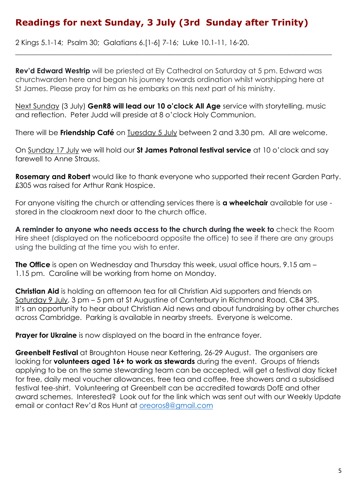## **Readings for next Sunday, 3 July (3rd Sunday after Trinity)**

2 Kings 5.1-14; Psalm 30; Galatians 6.[1-6] 7-16; Luke 10.1-11, 16-20.

**Rev'd Edward Westrip** will be priested at Ely Cathedral on Saturday at 5 pm. Edward was churchwarden here and began his journey towards ordination whilst worshipping here at St James. Please pray for him as he embarks on this next part of his ministry.

 $\_$  , and the set of the set of the set of the set of the set of the set of the set of the set of the set of the set of the set of the set of the set of the set of the set of the set of the set of the set of the set of th

Next Sunday (3 July) **GenR8 will lead our 10 o'clock All Age** service with storytelling, music and reflection. Peter Judd will preside at 8 o'clock Holy Communion.

There will be **Friendship Café** on Tuesday 5 July between 2 and 3.30 pm. All are welcome.

On Sunday 17 July we will hold our **St James Patronal festival service** at 10 o'clock and say farewell to Anne Strauss.

**Rosemary and Robert** would like to thank everyone who supported their recent Garden Party. £305 was raised for Arthur Rank Hospice.

For anyone visiting the church or attending services there is **a wheelchair** available for use stored in the cloakroom next door to the church office.

**A reminder to anyone who needs access to the church during the week to** check the Room Hire sheet (displayed on the noticeboard opposite the office) to see if there are any groups using the building at the time you wish to enter.

**The Office** is open on Wednesday and Thursday this week, usual office hours, 9.15 am – 1.15 pm. Caroline will be working from home on Monday.

**Christian Aid** is holding an afternoon tea for all Christian Aid supporters and friends on Saturday 9 July, 3 pm – 5 pm at St Augustine of Canterbury in Richmond Road, CB4 3PS. It's an opportunity to hear about Christian Aid news and about fundraising by other churches across Cambridge. Parking is available in nearby streets. Everyone is welcome.

**Prayer for Ukraine** is now displayed on the board in the entrance foyer.

**Greenbelt Festival** at Broughton House near Kettering, 26-29 August. The organisers are looking for **volunteers aged 16+ to work as stewards** during the event. Groups of friends applying to be on the same stewarding team can be accepted, will get a festival day ticket for free, daily meal voucher allowances, free tea and coffee, free showers and a subsidised festival tee-shirt. Volunteering at Greenbelt can be accredited towards DofE and other award schemes. Interested? Look out for the link which was sent out with our Weekly Update email or contact Rev'd Ros Hunt at [oreoros8@gmail.com](mailto:oreoros8@gmail.com)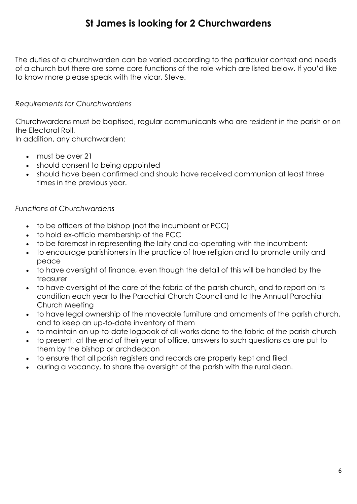## **St James is looking for 2 Churchwardens**

The duties of a churchwarden can be varied according to the particular context and needs of a church but there are some core functions of the role which are listed below. If you'd like to know more please speak with the vicar, Steve.

#### *Requirements for Churchwardens*

Churchwardens must be baptised, regular communicants who are resident in the parish or on the Electoral Roll.

In addition, any churchwarden:

- must be over 21
- should consent to being appointed
- should have been confirmed and should have received communion at least three times in the previous year.

#### *Functions of Churchwardens*

- to be officers of the bishop (not the incumbent or PCC)
- to hold ex-officio membership of the PCC
- to be foremost in representing the laity and co-operating with the incumbent:
- to encourage parishioners in the practice of true religion and to promote unity and peace
- to have oversight of finance, even though the detail of this will be handled by the treasurer
- to have oversight of the care of the fabric of the parish church, and to report on its condition each year to the Parochial Church Council and to the Annual Parochial Church Meeting
- to have legal ownership of the moveable furniture and ornaments of the parish church, and to keep an up-to-date inventory of them
- to maintain an up-to-date logbook of all works done to the fabric of the parish church
- to present, at the end of their year of office, answers to such questions as are put to them by the bishop or archdeacon
- to ensure that all parish registers and records are properly kept and filed
- during a vacancy, to share the oversight of the parish with the rural dean.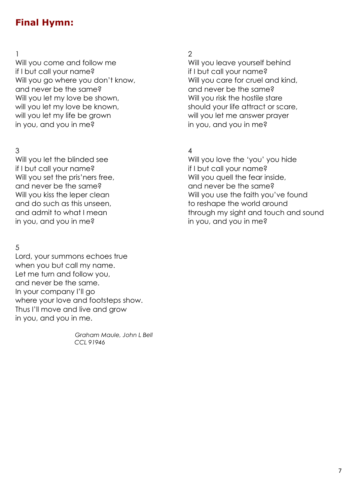## **Final Hymn:**

 $1$  2 Will you come and follow me Will you leave yourself behind if I but call your name? if I but call your name? Will you go where you don't know, will you care for cruel and kind, and never be the same? and never be the same? Will you let my love be shown, Will you risk the hostile stare will you let my love be known, should your life attract or scare, will you let my life be grown will you let me answer prayer in you, and you in me? in you, and you in me?

 $3 \overline{4}$ if I but call your name? if I but call your name? Will you set the pris'ners free, Will you quell the fear inside, and never be the same? and never be the same? and do such as this unseen, the match of reshape the world around in you, and you in me? in you, and you in me?

## 5

Lord, your summons echoes true when you but call my name. Let me turn and follow you, and never be the same. In your company I'll go where your love and footsteps show. Thus I'll move and live and grow in you, and you in me.

> *Graham Maule, John L Bell CCL 91946*

Will you let the blinded see Will you love the 'you' you hide Will you kiss the leper clean Will you use the faith you've found and admit to what I mean through my sight and touch and sound